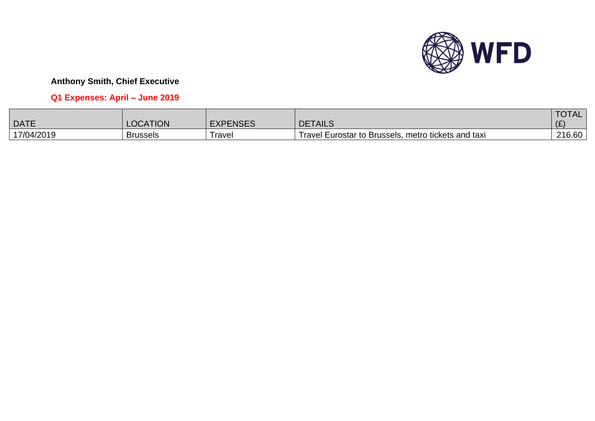

# **Q1 Expenses: April – June 2019**

|             |                 |                 |                                                     | <b>TOTAL</b> |
|-------------|-----------------|-----------------|-----------------------------------------------------|--------------|
| <b>DATE</b> | <b>OCATION</b>  | <b>EXPENSES</b> | <b>DETAILS</b>                                      |              |
| 17/04/2019  | <b>Brussels</b> | l ravel         | Travel Eurostar to Brussels, metro tickets and taxi | 216.60       |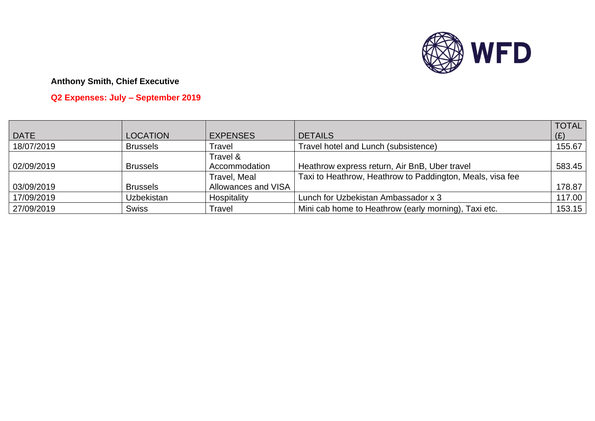

# **Q2 Expenses: July – September 2019**

|             |                   |                     |                                                           | <b>TOTAL</b> |
|-------------|-------------------|---------------------|-----------------------------------------------------------|--------------|
| <b>DATE</b> | <b>LOCATION</b>   | <b>EXPENSES</b>     | <b>DETAILS</b>                                            | (E)          |
| 18/07/2019  | <b>Brussels</b>   | Travel              | Travel hotel and Lunch (subsistence)                      | 155.67       |
|             |                   | Travel &            |                                                           |              |
| 02/09/2019  | <b>Brussels</b>   | Accommodation       | Heathrow express return, Air BnB, Uber travel             | 583.45       |
|             |                   | Travel, Meal        | Taxi to Heathrow, Heathrow to Paddington, Meals, visa fee |              |
| 03/09/2019  | <b>Brussels</b>   | Allowances and VISA |                                                           | 178.87       |
| 17/09/2019  | <b>Uzbekistan</b> | Hospitality         | Lunch for Uzbekistan Ambassador x 3                       | 117.00       |
| 27/09/2019  | <b>Swiss</b>      | Travel              | Mini cab home to Heathrow (early morning), Taxi etc.      | 153.15       |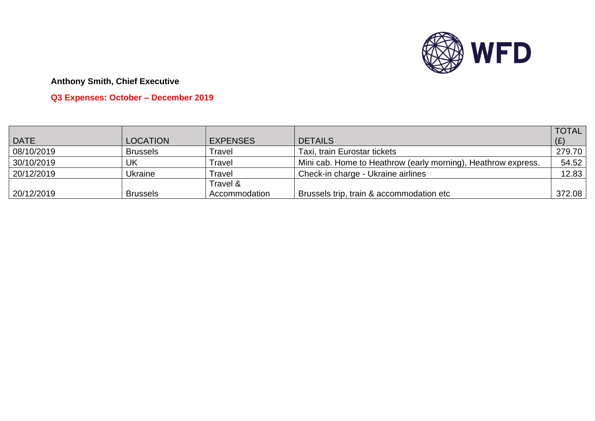

# **Q3 Expenses: October – December 2019**

|             |                 |                 |                                                               | <b>TOTAL</b> |
|-------------|-----------------|-----------------|---------------------------------------------------------------|--------------|
| <b>DATE</b> | <b>LOCATION</b> | <b>EXPENSES</b> | <b>DETAILS</b>                                                | (E)          |
| 08/10/2019  | <b>Brussels</b> | ⊺ravel          | Taxi, train Eurostar tickets                                  | 279.70       |
| 30/10/2019  | UK              | <b>Travel</b>   | Mini cab. Home to Heathrow (early morning), Heathrow express. | 54.52        |
| 20/12/2019  | <b>Ukraine</b>  | <b>Travel</b>   | Check-in charge - Ukraine airlines                            | 12.83        |
|             |                 | Travel &        |                                                               |              |
| 20/12/2019  | <b>Brussels</b> | Accommodation   | Brussels trip, train & accommodation etc                      | 372.08       |